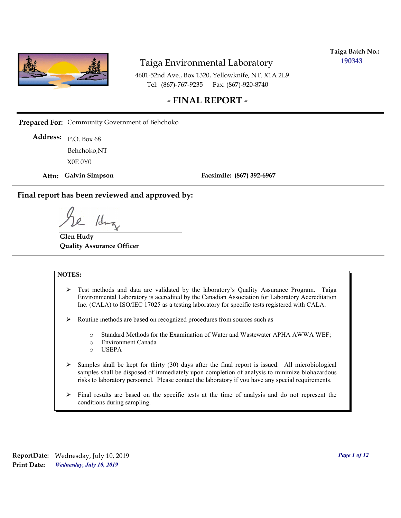

**Taiga Batch No.: 190343**

4601-52nd Ave., Box 1320, Yellowknife, NT. X1A 2L9 Tel: (867)-767-9235 Fax: (867)-920-8740

### **- FINAL REPORT -**

**Prepared For:** Community Government of Behchoko

P.O. Box 68 **Address:** X0E 0Y0 Behchoko,NT

**Attn: Galvin Simpson**

**Facsimile: (867) 392-6967**

**Final report has been reviewed and approved by:**

1dr

**Glen Hudy Quality Assurance Officer**

#### **NOTES:**

- $\triangleright$  Test methods and data are validated by the laboratory's Quality Assurance Program. Taiga Environmental Laboratory is accredited by the Canadian Association for Laboratory Accreditation Inc. (CALA) to ISO/IEC 17025 as a testing laboratory for specific tests registered with CALA.
- Routine methods are based on recognized procedures from sources such as
	- o Standard Methods for the Examination of Water and Wastewater APHA AWWA WEF;
	- o Environment Canada
	- o USEPA
- $\triangleright$  Samples shall be kept for thirty (30) days after the final report is issued. All microbiological samples shall be disposed of immediately upon completion of analysis to minimize biohazardous risks to laboratory personnel. Please contact the laboratory if you have any special requirements.
- $\triangleright$  Final results are based on the specific tests at the time of analysis and do not represent the conditions during sampling.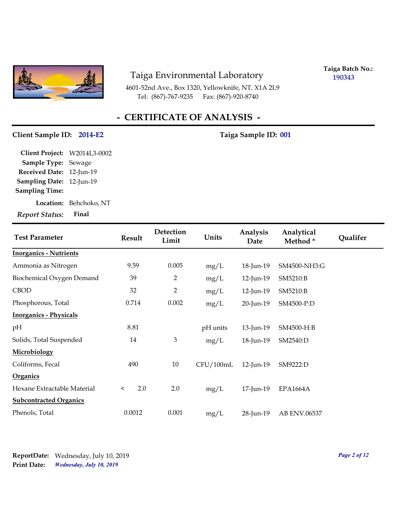

4601-52nd Ave., Box 1320, Yellowknife, NT. X1A 2L9 Tel: (867)-767-9235 Fax: (867)-920-8740

**Taiga Batch No.: 190343**

# **- CERTIFICATE OF ANALYSIS -**

#### Client Sample ID: 2014-E2 Taiga Sample ID: 001

| Client Project: W2014L3-0002 |                        |
|------------------------------|------------------------|
| Sample Type: Sewage          |                        |
| Received Date: 12-Jun-19     |                        |
| Sampling Date: 12-Jun-19     |                        |
| <b>Sampling Time:</b>        |                        |
|                              | Location: Behchoko, NT |
| <b>Report Status:</b>        | Final                  |

| <b>Test Parameter</b>         | <b>Result</b>  | Detection<br>Limit | Units     | Analysis<br>Date | Analytical<br>Method* | Qualifer |
|-------------------------------|----------------|--------------------|-----------|------------------|-----------------------|----------|
| <b>Inorganics - Nutrients</b> |                |                    |           |                  |                       |          |
| Ammonia as Nitrogen           | 9.59           | 0.005              | mg/L      | 18-Jun-19        | SM4500-NH3:G          |          |
| Biochemical Oxygen Demand     | 39             | $\overline{2}$     | mg/L      | 12-Jun-19        | SM5210:B              |          |
| <b>CBOD</b>                   | 32             | $\overline{2}$     | mg/L      | 12-Jun-19        | SM5210:B              |          |
| Phosphorous, Total            | 0.714          | 0.002              | mg/L      | 20-Jun-19        | SM4500-P:D            |          |
| <b>Inorganics - Physicals</b> |                |                    |           |                  |                       |          |
| pН                            | 8.81           |                    | pH units  | 13-Jun-19        | SM4500-H:B            |          |
| Solids, Total Suspended       | 14             | 3                  | mg/L      | 18-Jun-19        | SM2540:D              |          |
| Microbiology                  |                |                    |           |                  |                       |          |
| Coliforms, Fecal              | 490            | 10                 | CFU/100mL | $12$ -Jun-19     | SM9222:D              |          |
| <b>Organics</b>               |                |                    |           |                  |                       |          |
| Hexane Extractable Material   | 2.0<br>$\,<\,$ | 2.0                | mg/L      | 17-Jun-19        | <b>EPA1664A</b>       |          |
| <b>Subcontracted Organics</b> |                |                    |           |                  |                       |          |
| Phenols, Total                | 0.0012         | 0.001              | mg/L      | 28-Jun-19        | AB ENV.06537          |          |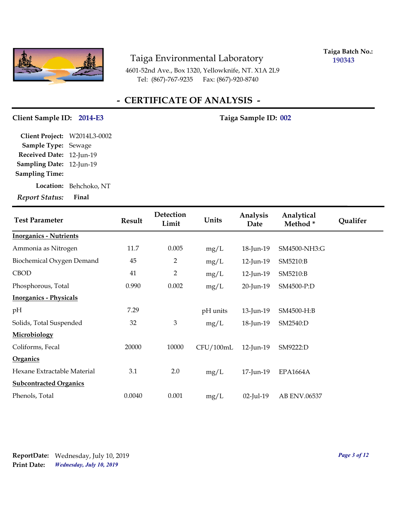

**Taiga Batch No.: 190343**

4601-52nd Ave., Box 1320, Yellowknife, NT. X1A 2L9 Tel: (867)-767-9235 Fax: (867)-920-8740

## **- CERTIFICATE OF ANALYSIS -**

#### Client Sample ID: 2014-E3 Taiga Sample ID: 002

**Location:** Behchoko, NT **Sampling Date:** 12-Jun-19 **Received Date:** 12-Jun-19 **Client Project:** W2014L3-0002 **Sample Type:** Sewage **Sampling Time:**

| <b>Test Parameter</b>         | <b>Result</b> | Detection<br>Limit | Units     | Analysis<br>Date | Analytical<br>Method* | Qualifer |
|-------------------------------|---------------|--------------------|-----------|------------------|-----------------------|----------|
| <b>Inorganics - Nutrients</b> |               |                    |           |                  |                       |          |
| Ammonia as Nitrogen           | 11.7          | 0.005              | mg/L      | 18-Jun-19        | SM4500-NH3:G          |          |
| Biochemical Oxygen Demand     | 45            | $\overline{2}$     | mg/L      | 12-Jun-19        | SM5210:B              |          |
| <b>CBOD</b>                   | 41            | $\overline{2}$     | mg/L      | 12-Jun-19        | SM5210:B              |          |
| Phosphorous, Total            | 0.990         | 0.002              | mg/L      | 20-Jun-19        | SM4500-P:D            |          |
| <b>Inorganics - Physicals</b> |               |                    |           |                  |                       |          |
| pН                            | 7.29          |                    | pH units  | 13-Jun-19        | SM4500-H:B            |          |
| Solids, Total Suspended       | 32            | 3                  | mg/L      | 18-Jun-19        | SM2540:D              |          |
| Microbiology                  |               |                    |           |                  |                       |          |
| Coliforms, Fecal              | 20000         | 10000              | CFU/100mL | 12-Jun-19        | SM9222:D              |          |
| Organics                      |               |                    |           |                  |                       |          |
| Hexane Extractable Material   | 3.1           | 2.0                | mg/L      | 17-Jun-19        | <b>EPA1664A</b>       |          |
| <b>Subcontracted Organics</b> |               |                    |           |                  |                       |          |
| Phenols, Total                | 0.0040        | 0.001              | mg/L      | $02$ -Jul-19     | AB ENV.06537          |          |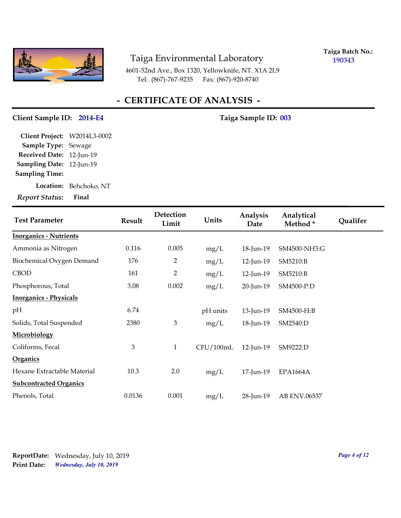

**Taiga Batch No.: 190343**

4601-52nd Ave., Box 1320, Yellowknife, NT. X1A 2L9 Tel: (867)-767-9235 Fax: (867)-920-8740

## **- CERTIFICATE OF ANALYSIS -**

#### Client Sample ID: 2014-E4 Taiga Sample ID: 003

**Location:** Behchoko, NT **Sampling Date:** 12-Jun-19 **Received Date:** 12-Jun-19 **Client Project:** W2014L3-0002 **Sample Type:** Sewage **Sampling Time:**

| <b>Test Parameter</b>         | <b>Result</b> | Detection<br>Limit | Units     | Analysis<br>Date | Analytical<br>Method* | Qualifer |
|-------------------------------|---------------|--------------------|-----------|------------------|-----------------------|----------|
| <b>Inorganics - Nutrients</b> |               |                    |           |                  |                       |          |
| Ammonia as Nitrogen           | 0.116         | 0.005              | mg/L      | 18-Jun-19        | SM4500-NH3:G          |          |
| Biochemical Oxygen Demand     | 176           | $\overline{2}$     | mg/L      | 12-Jun-19        | SM5210:B              |          |
| <b>CBOD</b>                   | 161           | 2                  | mg/L      | 12-Jun-19        | SM5210:B              |          |
| Phosphorous, Total            | 3.08          | 0.002              | mg/L      | 20-Jun-19        | SM4500-P:D            |          |
| <b>Inorganics - Physicals</b> |               |                    |           |                  |                       |          |
| pН                            | 6.74          |                    | pH units  | 13-Jun-19        | SM4500-H:B            |          |
| Solids, Total Suspended       | 2380          | 3                  | mg/L      | 18-Jun-19        | SM2540:D              |          |
| Microbiology                  |               |                    |           |                  |                       |          |
| Coliforms, Fecal              | 3             | $\mathbf{1}$       | CFU/100mL | 12-Jun-19        | SM9222:D              |          |
| Organics                      |               |                    |           |                  |                       |          |
| Hexane Extractable Material   | 10.3          | 2.0                | mg/L      | 17-Jun-19        | <b>EPA1664A</b>       |          |
| <b>Subcontracted Organics</b> |               |                    |           |                  |                       |          |
| Phenols, Total                | 0.0136        | 0.001              | mg/L      | 28-Jun-19        | AB ENV.06537          |          |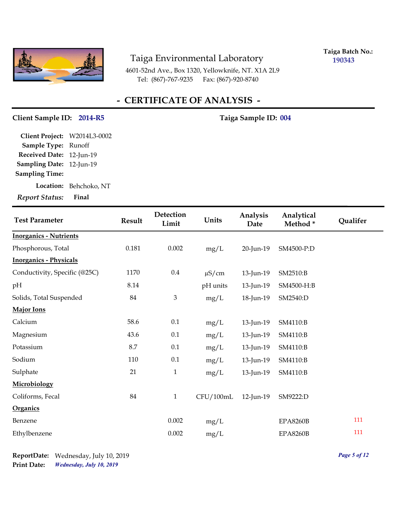

**Taiga Batch No.: 190343**

4601-52nd Ave., Box 1320, Yellowknife, NT. X1A 2L9 Tel: (867)-767-9235 Fax: (867)-920-8740

## **- CERTIFICATE OF ANALYSIS -**

#### Client Sample ID: 2014-R5 Taiga Sample ID: 004

**Sampling Date:** 12-Jun-19 **Received Date:** 12-Jun-19 **Client Project:** W2014L3-0002 **Sample Type:** Runoff **Sampling Time:**

**Location:** Behchoko, NT

| <b>Test Parameter</b>          | <b>Result</b> | Detection<br>Limit | Units      | Analysis<br>Date | Analytical<br>Method* | Qualifer |
|--------------------------------|---------------|--------------------|------------|------------------|-----------------------|----------|
| <b>Inorganics - Nutrients</b>  |               |                    |            |                  |                       |          |
| Phosphorous, Total             | 0.181         | 0.002              | mg/L       | 20-Jun-19        | SM4500-P:D            |          |
| <u> Inorganics - Physicals</u> |               |                    |            |                  |                       |          |
| Conductivity, Specific (@25C)  | 1170          | $0.4\,$            | $\mu$ S/cm | 13-Jun-19        | SM2510:B              |          |
| pН                             | 8.14          |                    | pH units   | 13-Jun-19        | SM4500-H:B            |          |
| Solids, Total Suspended        | 84            | 3                  | mg/L       | 18-Jun-19        | SM2540:D              |          |
| Major Ions                     |               |                    |            |                  |                       |          |
| Calcium                        | 58.6          | 0.1                | mg/L       | 13-Jun-19        | SM4110:B              |          |
| Magnesium                      | 43.6          | 0.1                | mg/L       | 13-Jun-19        | SM4110:B              |          |
| Potassium                      | 8.7           | 0.1                | mg/L       | 13-Jun-19        | SM4110:B              |          |
| Sodium                         | 110           | 0.1                | mg/L       | 13-Jun-19        | SM4110:B              |          |
| Sulphate                       | 21            | $\mathbf 1$        | mg/L       | 13-Jun-19        | SM4110:B              |          |
| Microbiology                   |               |                    |            |                  |                       |          |
| Coliforms, Fecal               | 84            | $\mathbf{1}$       | CFU/100mL  | 12-Jun-19        | SM9222:D              |          |
| <b>Organics</b>                |               |                    |            |                  |                       |          |
| Benzene                        |               | 0.002              | mg/L       |                  | <b>EPA8260B</b>       | 111      |
| Ethylbenzene                   |               | 0.002              | mg/L       |                  | <b>EPA8260B</b>       | 111      |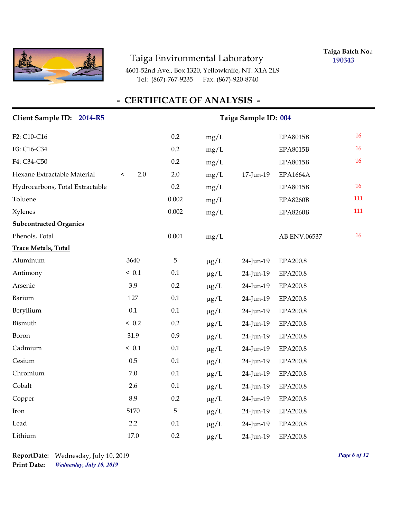

**Taiga Batch No.: 190343**

4601-52nd Ave., Box 1320, Yellowknife, NT. X1A 2L9 Tel: (867)-767-9235 Fax: (867)-920-8740

# **- CERTIFICATE OF ANALYSIS -**

#### Client Sample ID: 2014-R5 Taiga Sample ID: 004

| F2: C10-C16                     |                | 0.2         | mg/L      |           | <b>EPA8015B</b> | 16  |
|---------------------------------|----------------|-------------|-----------|-----------|-----------------|-----|
| F3: C16-C34                     |                | 0.2         | mg/L      |           | <b>EPA8015B</b> | 16  |
| F4: C34-C50                     |                | 0.2         | mg/L      |           | <b>EPA8015B</b> | 16  |
| Hexane Extractable Material     | 2.0<br>$\,<\,$ | 2.0         | mg/L      | 17-Jun-19 | <b>EPA1664A</b> |     |
| Hydrocarbons, Total Extractable |                | 0.2         | mg/L      |           | <b>EPA8015B</b> | 16  |
| Toluene                         |                | 0.002       | mg/L      |           | <b>EPA8260B</b> | 111 |
| Xylenes                         |                | 0.002       | mg/L      |           | <b>EPA8260B</b> | 111 |
| <b>Subcontracted Organics</b>   |                |             |           |           |                 |     |
| Phenols, Total                  |                | 0.001       | mg/L      |           | AB ENV.06537    | 16  |
| <b>Trace Metals, Total</b>      |                |             |           |           |                 |     |
| Aluminum                        | 3640           | $\mathbf 5$ | $\mu g/L$ | 24-Jun-19 | <b>EPA200.8</b> |     |
| Antimony                        | ~< 0.1         | 0.1         | $\mu g/L$ | 24-Jun-19 | <b>EPA200.8</b> |     |
| Arsenic                         | 3.9            | 0.2         | $\mu$ g/L | 24-Jun-19 | EPA200.8        |     |
| Barium                          | 127            | 0.1         | $\mu g/L$ | 24-Jun-19 | EPA200.8        |     |
| Beryllium                       | 0.1            | 0.1         | $\mu g/L$ | 24-Jun-19 | <b>EPA200.8</b> |     |
| Bismuth                         | ~< 0.2         | 0.2         | $\mu g/L$ | 24-Jun-19 | EPA200.8        |     |
| Boron                           | 31.9           | 0.9         | $\mu g/L$ | 24-Jun-19 | <b>EPA200.8</b> |     |
| Cadmium                         | ~< 0.1         | 0.1         | $\mu g/L$ | 24-Jun-19 | EPA200.8        |     |
| Cesium                          | 0.5            | 0.1         | $\mu g/L$ | 24-Jun-19 | <b>EPA200.8</b> |     |
| Chromium                        | $7.0\,$        | 0.1         | $\mu g/L$ | 24-Jun-19 | EPA200.8        |     |
| Cobalt                          | 2.6            | 0.1         | $\mu g/L$ | 24-Jun-19 | <b>EPA200.8</b> |     |
| Copper                          | 8.9            | 0.2         | $\mu$ g/L | 24-Jun-19 | EPA200.8        |     |
| Iron                            | 5170           | 5           | $\mu g/L$ | 24-Jun-19 | EPA200.8        |     |
| Lead                            | 2.2            | 0.1         | $\mu g/L$ | 24-Jun-19 | <b>EPA200.8</b> |     |
| Lithium                         | 17.0           | 0.2         | $\mu$ g/L | 24-Jun-19 | EPA200.8        |     |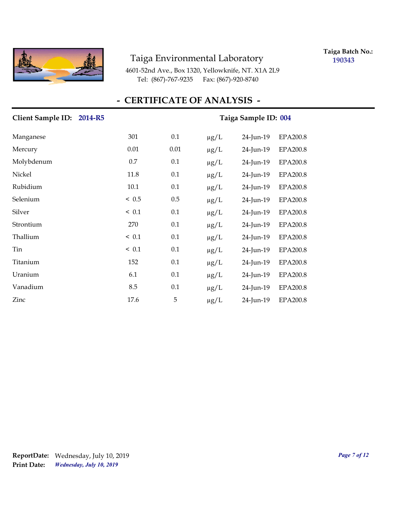

**Taiga Batch No.: 190343**

4601-52nd Ave., Box 1320, Yellowknife, NT. X1A 2L9 Tel: (867)-767-9235 Fax: (867)-920-8740

# **- CERTIFICATE OF ANALYSIS -**

| <b>Client Sample ID:</b><br>2014-R5 |        | Taiga Sample ID: 004 |           |           |                 |
|-------------------------------------|--------|----------------------|-----------|-----------|-----------------|
| Manganese                           | 301    | 0.1                  | $\mu$ g/L | 24-Jun-19 | <b>EPA200.8</b> |
| Mercury                             | 0.01   | 0.01                 | $\mu$ g/L | 24-Jun-19 | <b>EPA200.8</b> |
| Molybdenum                          | 0.7    | 0.1                  | $\mu$ g/L | 24-Jun-19 | <b>EPA200.8</b> |
| Nickel                              | 11.8   | 0.1                  | $\mu$ g/L | 24-Jun-19 | EPA200.8        |
| Rubidium                            | 10.1   | 0.1                  | $\mu$ g/L | 24-Jun-19 | EPA200.8        |
| Selenium                            | ~< 0.5 | 0.5                  | $\mu$ g/L | 24-Jun-19 | EPA200.8        |
| Silver                              | ~< 0.1 | 0.1                  | $\mu g/L$ | 24-Jun-19 | EPA200.8        |
| Strontium                           | 270    | 0.1                  | $\mu$ g/L | 24-Jun-19 | <b>EPA200.8</b> |
| Thallium                            | < 0.1  | 0.1                  | $\mu$ g/L | 24-Jun-19 | EPA200.8        |
| Tin                                 | ~< 0.1 | 0.1                  | $\mu$ g/L | 24-Jun-19 | <b>EPA200.8</b> |
| Titanium                            | 152    | 0.1                  | $\mu g/L$ | 24-Jun-19 | EPA200.8        |
| Uranium                             | 6.1    | 0.1                  | $\mu$ g/L | 24-Jun-19 | <b>EPA200.8</b> |
| Vanadium                            | 8.5    | 0.1                  | $\mu$ g/L | 24-Jun-19 | EPA200.8        |
| Zinc                                | 17.6   | 5                    | $\mu g/L$ | 24-Jun-19 | <b>EPA200.8</b> |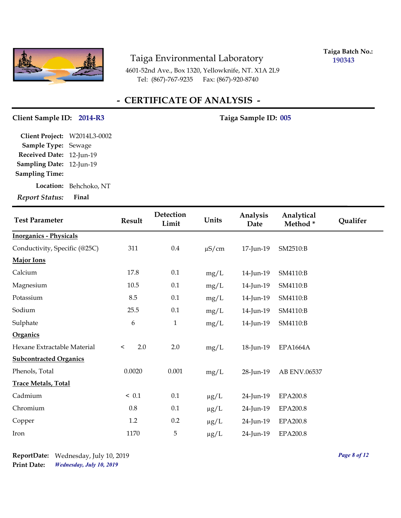

**Taiga Batch No.: 190343**

4601-52nd Ave., Box 1320, Yellowknife, NT. X1A 2L9 Tel: (867)-767-9235 Fax: (867)-920-8740

## **- CERTIFICATE OF ANALYSIS -**

#### Client Sample ID: 2014-R3 Taiga Sample ID: 005

**Location:** Behchoko, NT **Sampling Date:** 12-Jun-19 **Received Date:** 12-Jun-19 **Client Project:** W2014L3-0002 **Sample Type:** Sewage **Sampling Time:**

| <b>Test Parameter</b>         | <b>Result</b>  | Detection<br>Limit | Units      | Analysis<br>Date | Analytical<br>Method* | Qualifer |
|-------------------------------|----------------|--------------------|------------|------------------|-----------------------|----------|
| <b>Inorganics - Physicals</b> |                |                    |            |                  |                       |          |
| Conductivity, Specific (@25C) | 311            | $0.4\,$            | $\mu$ S/cm | 17-Jun-19        | SM2510:B              |          |
| Major Ions                    |                |                    |            |                  |                       |          |
| Calcium                       | 17.8           | 0.1                | mg/L       | 14-Jun-19        | SM4110:B              |          |
| Magnesium                     | 10.5           | $0.1\,$            | mg/L       | 14-Jun-19        | SM4110:B              |          |
| Potassium                     | 8.5            | $0.1\,$            | mg/L       | 14-Jun-19        | SM4110:B              |          |
| Sodium                        | 25.5           | 0.1                | mg/L       | 14-Jun-19        | SM4110:B              |          |
| Sulphate                      | 6              | $\mathbf{1}$       | mg/L       | 14-Jun-19        | SM4110:B              |          |
| Organics                      |                |                    |            |                  |                       |          |
| Hexane Extractable Material   | 2.0<br>$\prec$ | $2.0\,$            | mg/L       | 18-Jun-19        | <b>EPA1664A</b>       |          |
| <b>Subcontracted Organics</b> |                |                    |            |                  |                       |          |
| Phenols, Total                | 0.0020         | 0.001              | mg/L       | 28-Jun-19        | AB ENV.06537          |          |
| <b>Trace Metals, Total</b>    |                |                    |            |                  |                       |          |
| Cadmium                       | ~< 0.1         | $0.1\,$            | $\mu g/L$  | 24-Jun-19        | <b>EPA200.8</b>       |          |
| Chromium                      | 0.8            | 0.1                | $\mu g/L$  | 24-Jun-19        | <b>EPA200.8</b>       |          |
| Copper                        | 1.2            | 0.2                | $\mu g/L$  | 24-Jun-19        | <b>EPA200.8</b>       |          |
| Iron                          | 1170           | 5                  | $\mu g/L$  | 24-Jun-19        | EPA200.8              |          |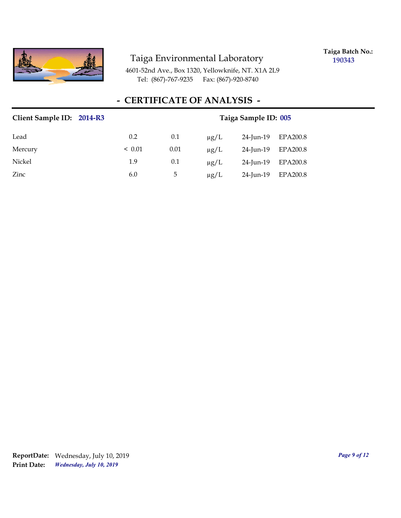

**Taiga Batch No.: 190343**

4601-52nd Ave., Box 1320, Yellowknife, NT. X1A 2L9 Tel: (867)-767-9235 Fax: (867)-920-8740

# **- CERTIFICATE OF ANALYSIS -**

| Client Sample ID: 2014-R3 |             |      | Taiga Sample ID: 005 |           |          |  |
|---------------------------|-------------|------|----------------------|-----------|----------|--|
| Lead                      | 0.2         | 0.1  | $\mu$ g/L            | 24-Jun-19 | EPA200.8 |  |
| Mercury                   | $\leq 0.01$ | 0.01 | $\mu$ g/L            | 24-Jun-19 | EPA200.8 |  |
| Nickel                    | 1.9         | 0.1  | $\mu$ g/L            | 24-Jun-19 | EPA200.8 |  |
| Zinc                      | 6.0         | 5    | $\mu$ g/L            | 24-Jun-19 | EPA200.8 |  |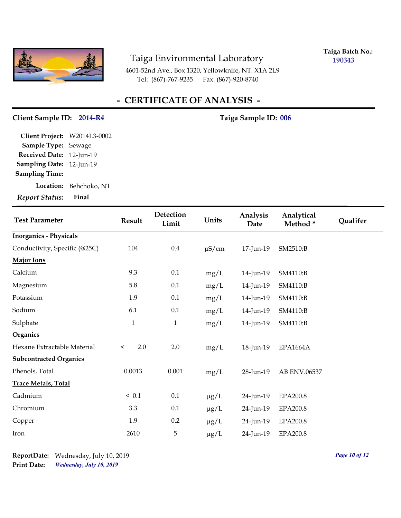

**Taiga Batch No.: 190343**

4601-52nd Ave., Box 1320, Yellowknife, NT. X1A 2L9 Tel: (867)-767-9235 Fax: (867)-920-8740

## **- CERTIFICATE OF ANALYSIS -**

#### Client Sample ID: 2014-R4 Taiga Sample ID: 006

**Location:** Behchoko, NT **Sampling Date:** 12-Jun-19 **Received Date:** 12-Jun-19 **Client Project:** W2014L3-0002 **Sample Type:** Sewage **Sampling Time:**

| <b>Test Parameter</b>         | Result         | Detection<br>Limit | Units      | Analysis<br>Date | Analytical<br>Method* | Qualifer |
|-------------------------------|----------------|--------------------|------------|------------------|-----------------------|----------|
| <b>Inorganics - Physicals</b> |                |                    |            |                  |                       |          |
| Conductivity, Specific (@25C) | 104            | $0.4\,$            | $\mu$ S/cm | 17-Jun-19        | SM2510:B              |          |
| <b>Major Ions</b>             |                |                    |            |                  |                       |          |
| Calcium                       | 9.3            | $0.1\,$            | mg/L       | 14-Jun-19        | SM4110:B              |          |
| Magnesium                     | 5.8            | $0.1\,$            | mg/L       | 14-Jun-19        | SM4110:B              |          |
| Potassium                     | 1.9            | 0.1                | mg/L       | 14-Jun-19        | SM4110:B              |          |
| Sodium                        | 6.1            | 0.1                | mg/L       | 14-Jun-19        | SM4110:B              |          |
| Sulphate                      | $\mathbf{1}$   | $\mathbf{1}$       | mg/L       | 14-Jun-19        | SM4110:B              |          |
| Organics                      |                |                    |            |                  |                       |          |
| Hexane Extractable Material   | 2.0<br>$\,<\,$ | 2.0                | mg/L       | 18-Jun-19        | <b>EPA1664A</b>       |          |
| <b>Subcontracted Organics</b> |                |                    |            |                  |                       |          |
| Phenols, Total                | 0.0013         | 0.001              | mg/L       | 28-Jun-19        | AB ENV.06537          |          |
| <b>Trace Metals, Total</b>    |                |                    |            |                  |                       |          |
| Cadmium                       | $\leq 0.1$     | 0.1                | $\mu g/L$  | 24-Jun-19        | <b>EPA200.8</b>       |          |
| Chromium                      | 3.3            | $0.1\,$            | $\mu g/L$  | 24-Jun-19        | <b>EPA200.8</b>       |          |
| Copper                        | 1.9            | 0.2                | $\mu g/L$  | 24-Jun-19        | EPA200.8              |          |
| Iron                          | 2610           | $\mathbf 5$        | $\mu g/L$  | 24-Jun-19        | EPA200.8              |          |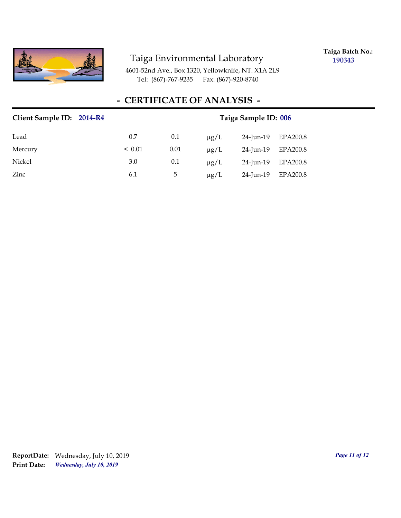

**Taiga Batch No.: 190343**

4601-52nd Ave., Box 1320, Yellowknife, NT. X1A 2L9 Tel: (867)-767-9235 Fax: (867)-920-8740

# **- CERTIFICATE OF ANALYSIS -**

| Client Sample ID: 2014-R4 |             | Taiga Sample ID: 006 |           |           |          |
|---------------------------|-------------|----------------------|-----------|-----------|----------|
| Lead                      | 0.7         | 0.1                  | $\mu$ g/L | 24-Jun-19 | EPA200.8 |
| Mercury                   | $\leq 0.01$ | 0.01                 | $\mu$ g/L | 24-Jun-19 | EPA200.8 |
| Nickel                    | 3.0         | 0.1                  | $\mu$ g/L | 24-Jun-19 | EPA200.8 |
| Zinc                      | 6.1         | 5                    | $\mu$ g/L | 24-Jun-19 | EPA200.8 |